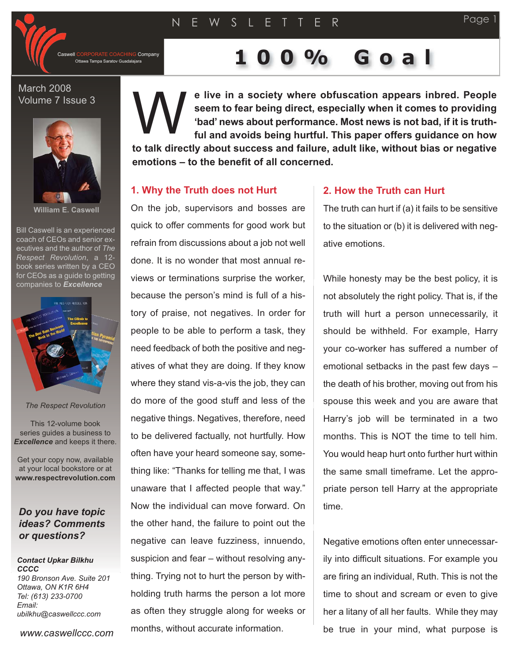NG Company

# Ottawa Tampa Saratov Guadalajara **100% Goall Concept Goall Company**

March 2008 Volume 7 Issue 3



**William E. Caswell**

Bill Caswell is an experienced coach of CEOs and senior executives and the author of *The Respect Revolution*, a 12 book series written by a CEO for CEOs as a guide to getting companies to *Excellence*



*The Respect Revolution*

This 12-volume book series guides a business to *Excellence* and keeps it there.

Get your copy now, available at your local bookstore or at **www.respectrevolution.com**

## *Do you have topic ideas? Comments or questions?*

## *Contact Upkar Bilkhu CCCC*

*190 Bronson Ave. Suite 201 Ottawa, ON K1R 6H4 Tel: (613) 233-0700 Email: ubilkhu@caswellccc.com*

*www.caswellccc.com*

**e live in a society where obfuscation appears inbred. People seem to fear being direct, especially when it comes to providing 'bad' news about performance. Most news is not bad, if it is truthful and avoids being hurtful. This paper offers guidance on how to talk directly about success and failure, adult like, without bias or negative emotions – to the benefit of all concerned.** W<br>W

#### **1. Why the Truth does not Hurt**

On the job, supervisors and bosses are quick to offer comments for good work but refrain from discussions about a job not well done. It is no wonder that most annual reviews or terminations surprise the worker, because the person's mind is full of a history of praise, not negatives. In order for people to be able to perform a task, they need feedback of both the positive and negatives of what they are doing. If they know where they stand vis-a-vis the job, they can do more of the good stuff and less of the negative things. Negatives, therefore, need to be delivered factually, not hurtfully. How often have your heard someone say, something like: "Thanks for telling me that, I was unaware that I affected people that way." Now the individual can move forward. On the other hand, the failure to point out the negative can leave fuzziness, innuendo, suspicion and fear – without resolving anything. Trying not to hurt the person by withholding truth harms the person a lot more as often they struggle along for weeks or months, without accurate information.

### **2. How the Truth can Hurt**

The truth can hurt if (a) it fails to be sensitive to the situation or (b) it is delivered with negative emotions.

While honesty may be the best policy, it is not absolutely the right policy. That is, if the truth will hurt a person unnecessarily, it should be withheld. For example, Harry your co-worker has suffered a number of emotional setbacks in the past few days – the death of his brother, moving out from his spouse this week and you are aware that Harry's job will be terminated in a two months. This is NOT the time to tell him. You would heap hurt onto further hurt within the same small timeframe. Let the appropriate person tell Harry at the appropriate time.

Negative emotions often enter unnecessarily into difficult situations. For example you are firing an individual, Ruth. This is not the time to shout and scream or even to give her a litany of all her faults. While they may be true in your mind, what purpose is